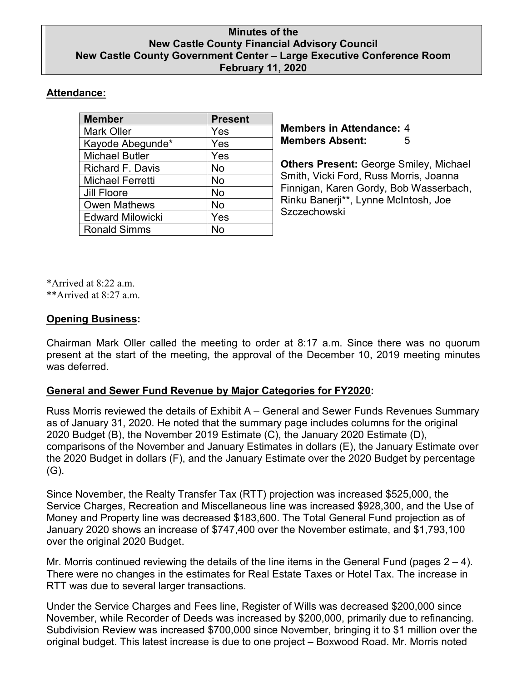### **Minutes of the New Castle County Financial Advisory Council New Castle County Government Center – Large Executive Conference Room February 11, 2020**

## **Attendance:**

| <b>Member</b>           | <b>Present</b> |
|-------------------------|----------------|
| <b>Mark Oller</b>       | Yes            |
| Kayode Abegunde*        | Yes            |
| <b>Michael Butler</b>   | Yes            |
| <b>Richard F. Davis</b> | No             |
| <b>Michael Ferretti</b> | No             |
| <b>Jill Floore</b>      | No             |
| <b>Owen Mathews</b>     | <b>No</b>      |
| <b>Edward Milowicki</b> | Yes            |
| <b>Ronald Simms</b>     | Nο             |

**Members in Attendance:** 4 **Members Absent:** 5

**Others Present:** George Smiley, Michael Smith, Vicki Ford, Russ Morris, Joanna Finnigan, Karen Gordy, Bob Wasserbach, Rinku Banerji\*\*, Lynne McIntosh, Joe **Szczechowski** 

\*Arrived at 8:22 a.m. \*\*Arrived at 8:27 a.m.

### **Opening Business:**

Chairman Mark Oller called the meeting to order at 8:17 a.m. Since there was no quorum present at the start of the meeting, the approval of the December 10, 2019 meeting minutes was deferred.

# **General and Sewer Fund Revenue by Major Categories for FY2020:**

Russ Morris reviewed the details of Exhibit A – General and Sewer Funds Revenues Summary as of January 31, 2020. He noted that the summary page includes columns for the original 2020 Budget (B), the November 2019 Estimate (C), the January 2020 Estimate (D), comparisons of the November and January Estimates in dollars (E), the January Estimate over the 2020 Budget in dollars (F), and the January Estimate over the 2020 Budget by percentage (G).

Since November, the Realty Transfer Tax (RTT) projection was increased \$525,000, the Service Charges, Recreation and Miscellaneous line was increased \$928,300, and the Use of Money and Property line was decreased \$183,600. The Total General Fund projection as of January 2020 shows an increase of \$747,400 over the November estimate, and \$1,793,100 over the original 2020 Budget.

Mr. Morris continued reviewing the details of the line items in the General Fund (pages  $2 - 4$ ). There were no changes in the estimates for Real Estate Taxes or Hotel Tax. The increase in RTT was due to several larger transactions.

Under the Service Charges and Fees line, Register of Wills was decreased \$200,000 since November, while Recorder of Deeds was increased by \$200,000, primarily due to refinancing. Subdivision Review was increased \$700,000 since November, bringing it to \$1 million over the original budget. This latest increase is due to one project – Boxwood Road. Mr. Morris noted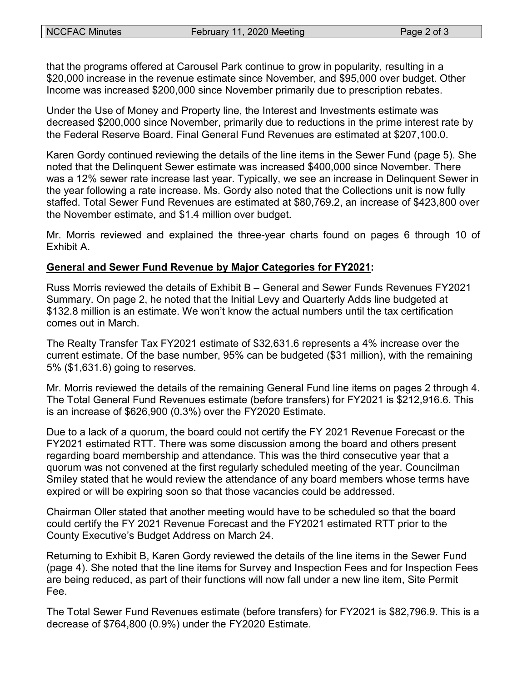that the programs offered at Carousel Park continue to grow in popularity, resulting in a \$20,000 increase in the revenue estimate since November, and \$95,000 over budget. Other Income was increased \$200,000 since November primarily due to prescription rebates.

Under the Use of Money and Property line, the Interest and Investments estimate was decreased \$200,000 since November, primarily due to reductions in the prime interest rate by the Federal Reserve Board. Final General Fund Revenues are estimated at \$207,100.0.

Karen Gordy continued reviewing the details of the line items in the Sewer Fund (page 5). She noted that the Delinquent Sewer estimate was increased \$400,000 since November. There was a 12% sewer rate increase last year. Typically, we see an increase in Delinquent Sewer in the year following a rate increase. Ms. Gordy also noted that the Collections unit is now fully staffed. Total Sewer Fund Revenues are estimated at \$80,769.2, an increase of \$423,800 over the November estimate, and \$1.4 million over budget.

Mr. Morris reviewed and explained the three-year charts found on pages 6 through 10 of Exhibit A.

### **General and Sewer Fund Revenue by Major Categories for FY2021:**

Russ Morris reviewed the details of Exhibit B – General and Sewer Funds Revenues FY2021 Summary. On page 2, he noted that the Initial Levy and Quarterly Adds line budgeted at \$132.8 million is an estimate. We won't know the actual numbers until the tax certification comes out in March.

The Realty Transfer Tax FY2021 estimate of \$32,631.6 represents a 4% increase over the current estimate. Of the base number, 95% can be budgeted (\$31 million), with the remaining 5% (\$1,631.6) going to reserves.

Mr. Morris reviewed the details of the remaining General Fund line items on pages 2 through 4. The Total General Fund Revenues estimate (before transfers) for FY2021 is \$212,916.6. This is an increase of \$626,900 (0.3%) over the FY2020 Estimate.

Due to a lack of a quorum, the board could not certify the FY 2021 Revenue Forecast or the FY2021 estimated RTT. There was some discussion among the board and others present regarding board membership and attendance. This was the third consecutive year that a quorum was not convened at the first regularly scheduled meeting of the year. Councilman Smiley stated that he would review the attendance of any board members whose terms have expired or will be expiring soon so that those vacancies could be addressed.

Chairman Oller stated that another meeting would have to be scheduled so that the board could certify the FY 2021 Revenue Forecast and the FY2021 estimated RTT prior to the County Executive's Budget Address on March 24.

Returning to Exhibit B, Karen Gordy reviewed the details of the line items in the Sewer Fund (page 4). She noted that the line items for Survey and Inspection Fees and for Inspection Fees are being reduced, as part of their functions will now fall under a new line item, Site Permit Fee.

The Total Sewer Fund Revenues estimate (before transfers) for FY2021 is \$82,796.9. This is a decrease of \$764,800 (0.9%) under the FY2020 Estimate.